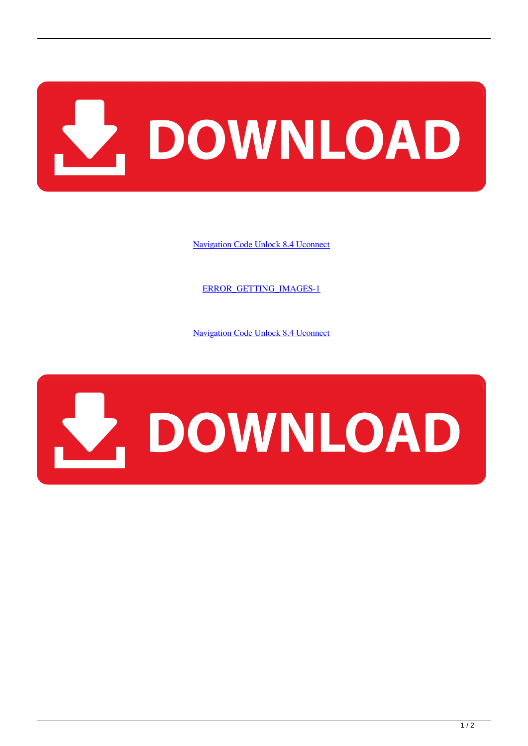

[Navigation Code Unlock 8.4 Uconnect](http://imgfil.com/18b9e0)

[ERROR\\_GETTING\\_IMAGES-1](http://imgfil.com/18b9e0)

[Navigation Code Unlock 8.4 Uconnect](http://imgfil.com/18b9e0)

## V. DOWNLOAD